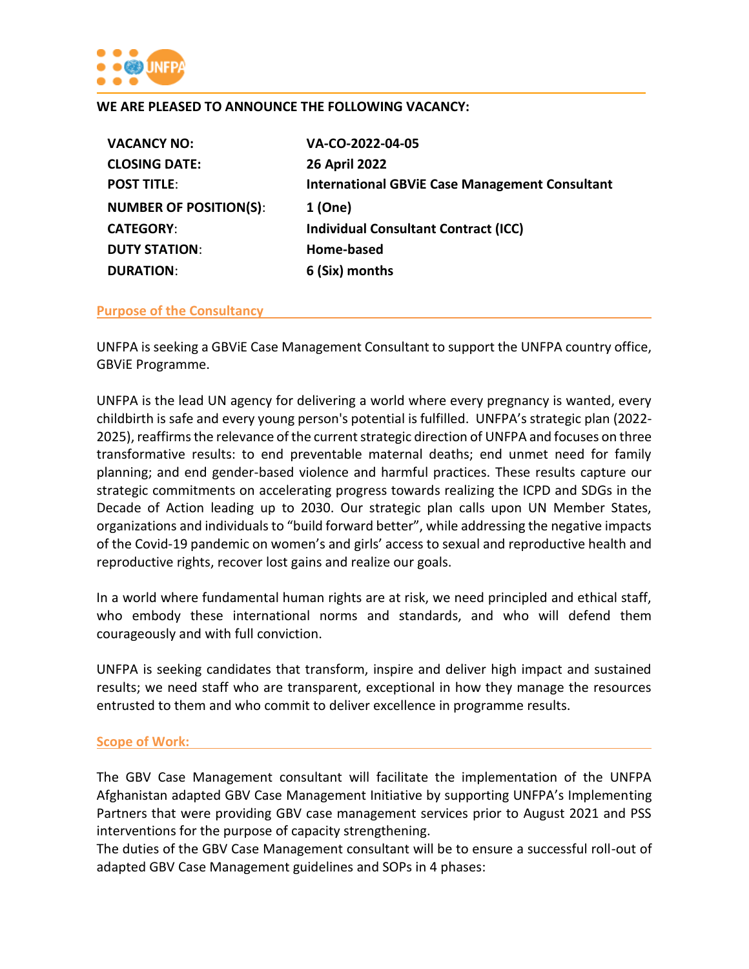

#### **WE ARE PLEASED TO ANNOUNCE THE FOLLOWING VACANCY:**

| <b>VACANCY NO:</b>            | VA-CO-2022-04-05                                      |
|-------------------------------|-------------------------------------------------------|
| <b>CLOSING DATE:</b>          | <b>26 April 2022</b>                                  |
| <b>POST TITLE:</b>            | <b>International GBVIE Case Management Consultant</b> |
| <b>NUMBER OF POSITION(S):</b> | 1 (One)                                               |
| <b>CATEGORY:</b>              | <b>Individual Consultant Contract (ICC)</b>           |
| <b>DUTY STATION:</b>          | Home-based                                            |
| <b>DURATION:</b>              | 6 (Six) months                                        |
|                               |                                                       |

#### **Purpose of the Consultancy**

UNFPA is seeking a GBViE Case Management Consultant to support the UNFPA country office, GBViE Programme.

UNFPA is the lead UN agency for delivering a world where every pregnancy is wanted, every childbirth is safe and every young person's potential is fulfilled. UNFPA's strategic plan (2022- 2025), reaffirms the relevance of the current strategic direction of UNFPA and focuses on three transformative results: to end preventable maternal deaths; end unmet need for family planning; and end gender-based violence and harmful practices. These results capture our strategic commitments on accelerating progress towards realizing the ICPD and SDGs in the Decade of Action leading up to 2030. Our strategic plan calls upon UN Member States, organizations and individuals to "build forward better", while addressing the negative impacts of the Covid-19 pandemic on women's and girls' access to sexual and reproductive health and reproductive rights, recover lost gains and realize our goals.

In a world where fundamental human rights are at risk, we need principled and ethical staff, who embody these international norms and standards, and who will defend them courageously and with full conviction.

UNFPA is seeking candidates that transform, inspire and deliver high impact and sustained results; we need staff who are transparent, exceptional in how they manage the resources entrusted to them and who commit to deliver excellence in programme results.

#### **Scope of Work:**

The GBV Case Management consultant will facilitate the implementation of the UNFPA Afghanistan adapted GBV Case Management Initiative by supporting UNFPA's Implementing Partners that were providing GBV case management services prior to August 2021 and PSS interventions for the purpose of capacity strengthening.

The duties of the GBV Case Management consultant will be to ensure a successful roll-out of adapted GBV Case Management guidelines and SOPs in 4 phases: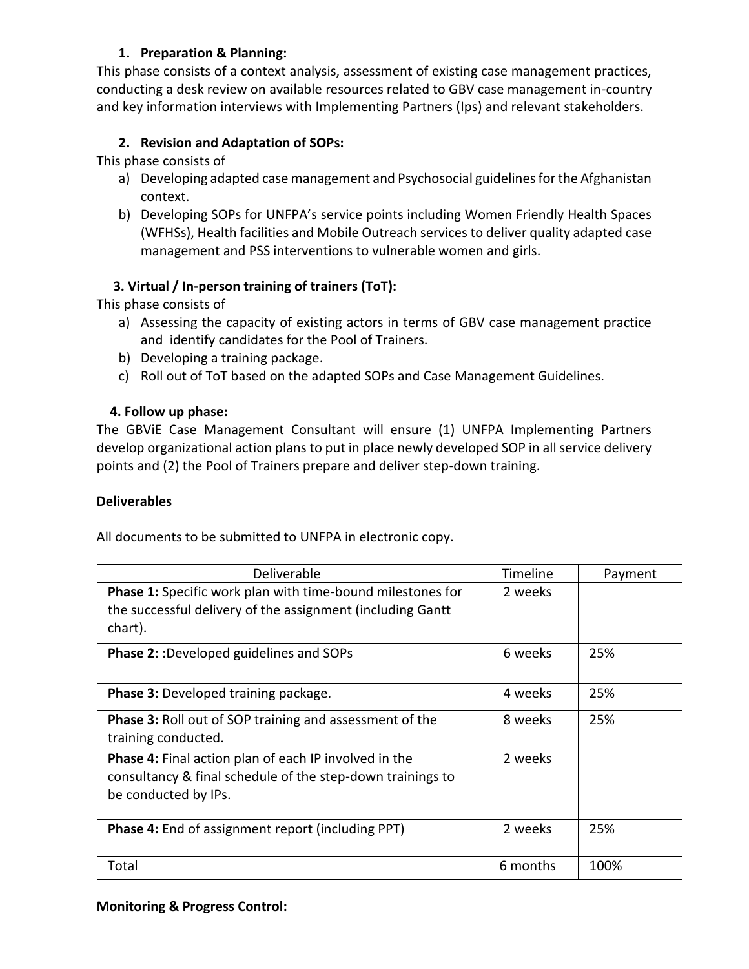# **1. Preparation & Planning:**

This phase consists of a context analysis, assessment of existing case management practices, conducting a desk review on available resources related to GBV case management in-country and key information interviews with Implementing Partners (Ips) and relevant stakeholders.

# **2. Revision and Adaptation of SOPs:**

This phase consists of

- a) Developing adapted case management and Psychosocial guidelines for the Afghanistan context.
- b) Developing SOPs for UNFPA's service points including Women Friendly Health Spaces (WFHSs), Health facilities and Mobile Outreach services to deliver quality adapted case management and PSS interventions to vulnerable women and girls.

# **3. Virtual / In-person training of trainers (ToT):**

This phase consists of

- a) Assessing the capacity of existing actors in terms of GBV case management practice and identify candidates for the Pool of Trainers.
- b) Developing a training package.
- c) Roll out of ToT based on the adapted SOPs and Case Management Guidelines.

## **4. Follow up phase:**

The GBViE Case Management Consultant will ensure (1) UNFPA Implementing Partners develop organizational action plans to put in place newly developed SOP in all service delivery points and (2) the Pool of Trainers prepare and deliver step-down training.

#### **Deliverables**

All documents to be submitted to UNFPA in electronic copy.

| Deliverable                                                                                                                                        | Timeline | Payment |
|----------------------------------------------------------------------------------------------------------------------------------------------------|----------|---------|
| <b>Phase 1:</b> Specific work plan with time-bound milestones for<br>the successful delivery of the assignment (including Gantt<br>chart).         | 2 weeks  |         |
| <b>Phase 2::</b> Developed guidelines and SOPs                                                                                                     | 6 weeks  | 25%     |
| <b>Phase 3: Developed training package.</b>                                                                                                        | 4 weeks  | 25%     |
| <b>Phase 3: Roll out of SOP training and assessment of the</b><br>training conducted.                                                              | 8 weeks  | 25%     |
| <b>Phase 4:</b> Final action plan of each IP involved in the<br>consultancy & final schedule of the step-down trainings to<br>be conducted by IPs. | 2 weeks  |         |
| <b>Phase 4:</b> End of assignment report (including PPT)                                                                                           | 2 weeks  | 25%     |
| Total                                                                                                                                              | 6 months | 100%    |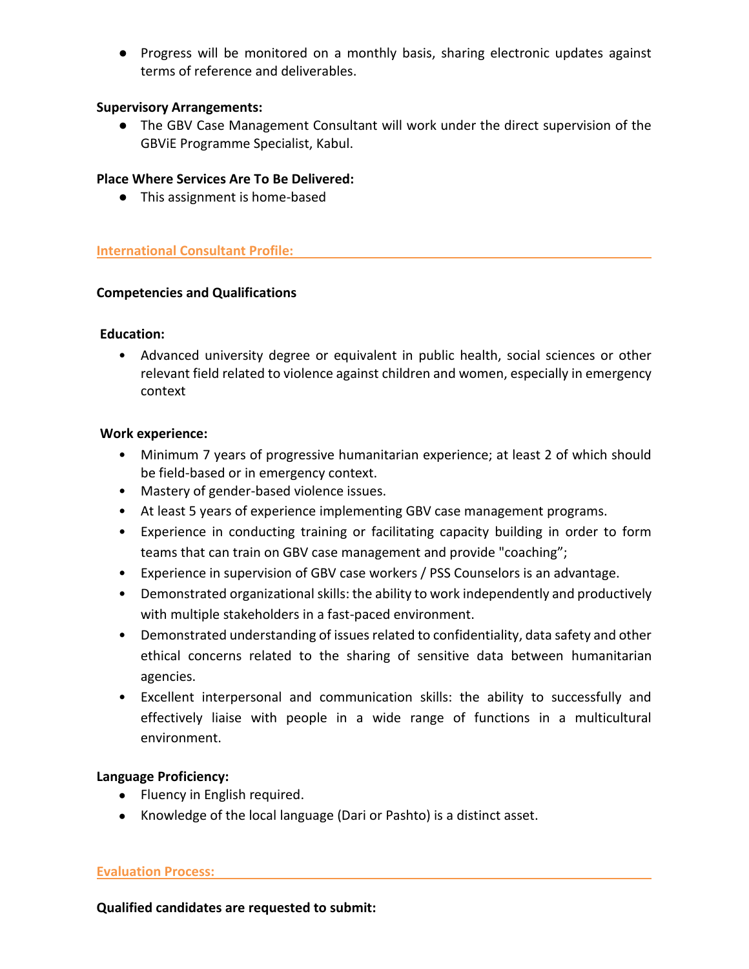● Progress will be monitored on a monthly basis, sharing electronic updates against terms of reference and deliverables.

## **Supervisory Arrangements:**

● The GBV Case Management Consultant will work under the direct supervision of the GBViE Programme Specialist, Kabul.

## **Place Where Services Are To Be Delivered:**

● This assignment is home-based

## **International Consultant Profile:**

## **Competencies and Qualifications**

#### **Education:**

• Advanced university degree or equivalent in public health, social sciences or other relevant field related to violence against children and women, especially in emergency context

#### **Work experience:**

- Minimum 7 years of progressive humanitarian experience; at least 2 of which should be field-based or in emergency context.
- Mastery of gender-based violence issues.
- At least 5 years of experience implementing GBV case management programs.
- Experience in conducting training or facilitating capacity building in order to form teams that can train on GBV case management and provide "coaching";
- Experience in supervision of GBV case workers / PSS Counselors is an advantage.
- Demonstrated organizational skills: the ability to work independently and productively with multiple stakeholders in a fast-paced environment.
- Demonstrated understanding of issues related to confidentiality, data safety and other ethical concerns related to the sharing of sensitive data between humanitarian agencies.
- Excellent interpersonal and communication skills: the ability to successfully and effectively liaise with people in a wide range of functions in a multicultural environment.

## **Language Proficiency:**

- Fluency in English required.
- Knowledge of the local language (Dari or Pashto) is a distinct asset.

#### **Evaluation Process:**

**Qualified candidates are requested to submit:**